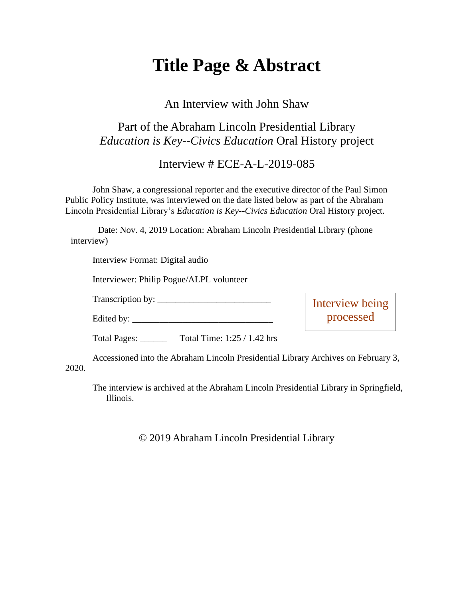# **Title Page & Abstract**

#### An Interview with John Shaw

### Part of the Abraham Lincoln Presidential Library *Education is Key--Civics Education* Oral History project

#### Interview # ECE-A-L-2019-085

John Shaw, a congressional reporter and the executive director of the Paul Simon Public Policy Institute, was interviewed on the date listed below as part of the Abraham Lincoln Presidential Library's *Education is Key--Civics Education* Oral History project.

Date: Nov. 4, 2019 Location: Abraham Lincoln Presidential Library (phone interview)

Interview Format: Digital audio

Interviewer: Philip Pogue/ALPL volunteer

Transcription by: \_\_\_\_\_\_\_\_\_\_\_\_\_\_\_\_\_\_\_\_\_\_\_\_\_

Edited by:

Interview being processed

Total Pages: \_\_\_\_\_\_ Total Time: 1:25 / 1.42 hrs

Accessioned into the Abraham Lincoln Presidential Library Archives on February 3, 2020.

The interview is archived at the Abraham Lincoln Presidential Library in Springfield, Illinois.

© 2019 Abraham Lincoln Presidential Library